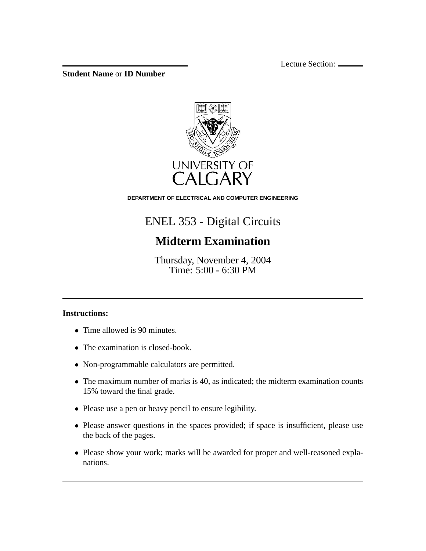Lecture Section:

**Student Name** or **ID Number**



**DEPARTMENT OF ELECTRICAL AND COMPUTER ENGINEERING**

## ENEL 353 - Digital Circuits

## **Midterm Examination**

Thursday, November 4, 2004 Time: 5:00 - 6:30 PM

## **Instructions:**

- Time allowed is 90 minutes.
- The examination is closed-book.
- Non-programmable calculators are permitted.
- The maximum number of marks is 40, as indicated; the midterm examination counts 15% toward the final grade.
- Please use a pen or heavy pencil to ensure legibility.
- Please answer questions in the spaces provided; if space is insufficient, please use the back of the pages.
- Please show your work; marks will be awarded for proper and well-reasoned explanations.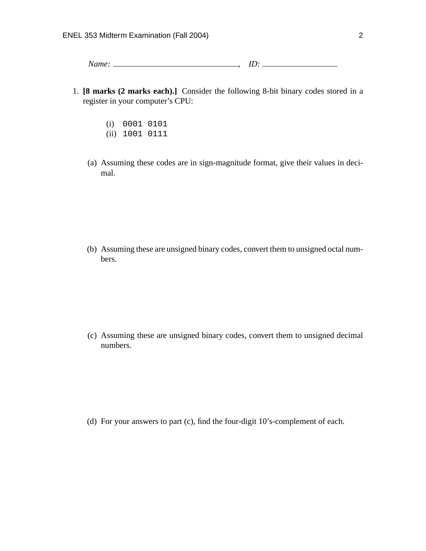*Name:* , *ID:*

- 1. **[8 marks (2 marks each).]** Consider the following 8-bit binary codes stored in a register in your computer's CPU:
	- (i) 0001 0101
	- (ii) 1001 0111
	- (a) Assuming these codes are in sign-magnitude format, give their values in decimal.

(b) Assuming these are unsigned binary codes, convert them to unsigned octal numbers.

(c) Assuming these are unsigned binary codes, convert them to unsigned decimal numbers.

(d) For your answers to part (c), find the four-digit 10's-complement of each.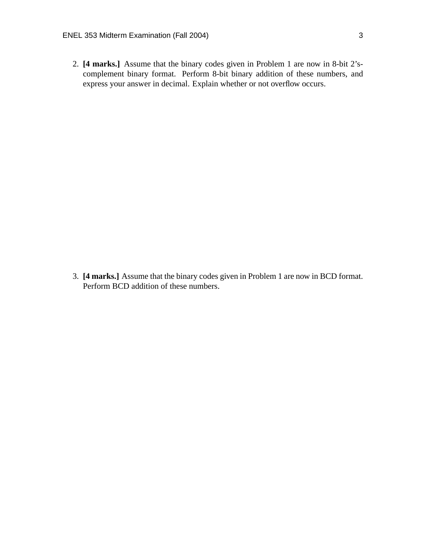2. **[4 marks.]** Assume that the binary codes given in Problem 1 are now in 8-bit 2'scomplement binary format. Perform 8-bit binary addition of these numbers, and express your answer in decimal. Explain whether or not overflow occurs.

3. **[4 marks.]** Assume that the binary codes given in Problem 1 are now in BCD format. Perform BCD addition of these numbers.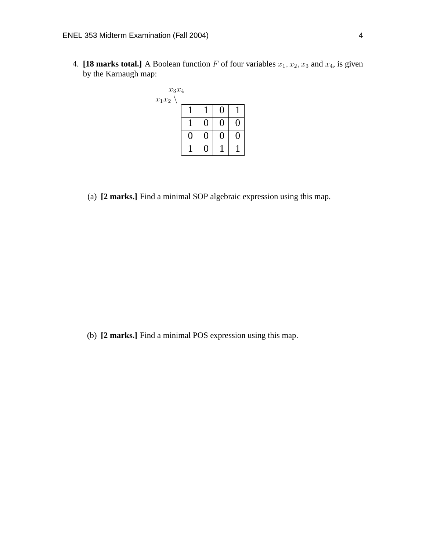4. **[18 marks total.]** A Boolean function F of four variables  $x_1, x_2, x_3$  and  $x_4$ , is given by the Karnaugh map:



(a) **[2 marks.]** Find a minimal SOP algebraic expression using this map.

(b) **[2 marks.]** Find a minimal POS expression using this map.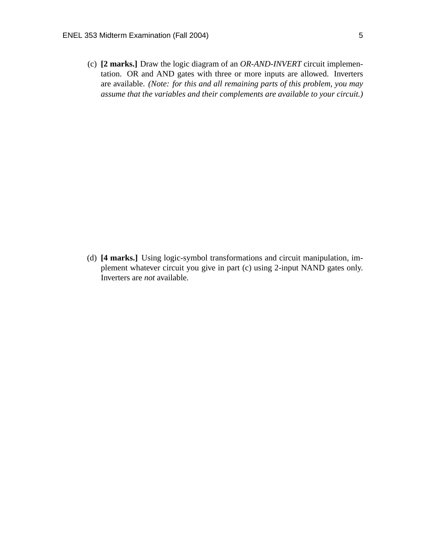(c) **[2 marks.]** Draw the logic diagram of an *OR-AND-INVERT* circuit implementation. OR and AND gates with three or more inputs are allowed. Inverters are available. *(Note: for this and all remaining parts of this problem, you may assume that the variables and their complements are available to your circuit.)*

(d) **[4 marks.]** Using logic-symbol transformations and circuit manipulation, implement whatever circuit you give in part (c) using 2-input NAND gates only. Inverters are *not* available.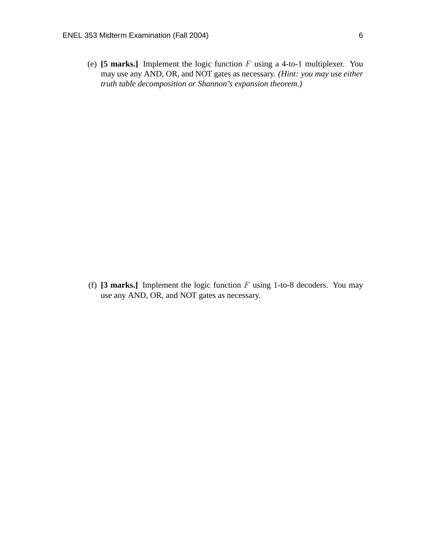(e) **[5 marks.]** Implement the logic function F using a 4-to-1 multiplexer. You may use any AND, OR, and NOT gates as necessary. *(Hint: you may use either truth table decomposition or Shannon's expansion theorem.)*

(f)  $[3 \text{ marks.}]$  Implement the logic function  $F$  using 1-to-8 decoders. You may use any AND, OR, and NOT gates as necessary.